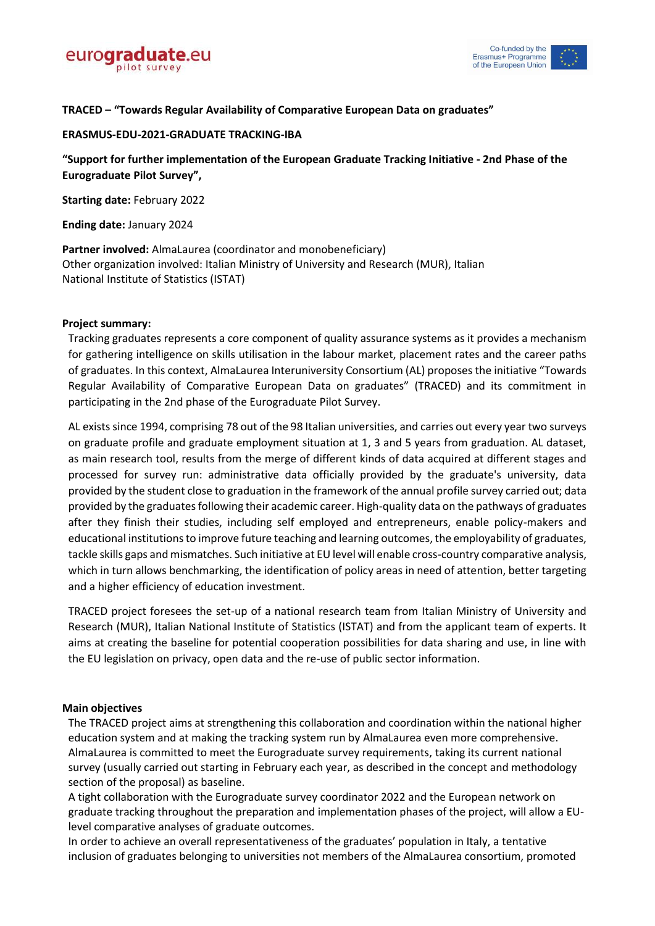



# **TRACED – "Towards Regular Availability of Comparative European Data on graduates"**

## **ERASMUS-EDU-2021-GRADUATE TRACKING-IBA**

**"Support for further implementation of the European Graduate Tracking Initiative - 2nd Phase of the Eurograduate Pilot Survey",** 

**Starting date:** February 2022

**Ending date:** January 2024

**Partner involved:** AlmaLaurea (coordinator and monobeneficiary) Other organization involved: Italian Ministry of University and Research (MUR), Italian National Institute of Statistics (ISTAT)

## **Project summary:**

Tracking graduates represents a core component of quality assurance systems as it provides a mechanism for gathering intelligence on skills utilisation in the labour market, placement rates and the career paths of graduates. In this context, AlmaLaurea Interuniversity Consortium (AL) proposes the initiative "Towards Regular Availability of Comparative European Data on graduates" (TRACED) and its commitment in participating in the 2nd phase of the Eurograduate Pilot Survey.

AL exists since 1994, comprising 78 out of the 98 Italian universities, and carries out every year two surveys on graduate profile and graduate employment situation at 1, 3 and 5 years from graduation. AL dataset, as main research tool, results from the merge of different kinds of data acquired at different stages and processed for survey run: administrative data officially provided by the graduate's university, data provided by the student close to graduation in the framework of the annual profile survey carried out; data provided by the graduates following their academic career. High-quality data on the pathways of graduates after they finish their studies, including self employed and entrepreneurs, enable policy-makers and educational institutions to improve future teaching and learning outcomes, the employability of graduates, tackle skills gaps and mismatches. Such initiative at EU level will enable cross-country comparative analysis, which in turn allows benchmarking, the identification of policy areas in need of attention, better targeting and a higher efficiency of education investment.

TRACED project foresees the set-up of a national research team from Italian Ministry of University and Research (MUR), Italian National Institute of Statistics (ISTAT) and from the applicant team of experts. It aims at creating the baseline for potential cooperation possibilities for data sharing and use, in line with the EU legislation on privacy, open data and the re-use of public sector information.

#### **Main objectives**

The TRACED project aims at strengthening this collaboration and coordination within the national higher education system and at making the tracking system run by AlmaLaurea even more comprehensive. AlmaLaurea is committed to meet the Eurograduate survey requirements, taking its current national survey (usually carried out starting in February each year, as described in the concept and methodology section of the proposal) as baseline.

A tight collaboration with the Eurograduate survey coordinator 2022 and the European network on graduate tracking throughout the preparation and implementation phases of the project, will allow a EUlevel comparative analyses of graduate outcomes.

In order to achieve an overall representativeness of the graduates' population in Italy, a tentative inclusion of graduates belonging to universities not members of the AlmaLaurea consortium, promoted